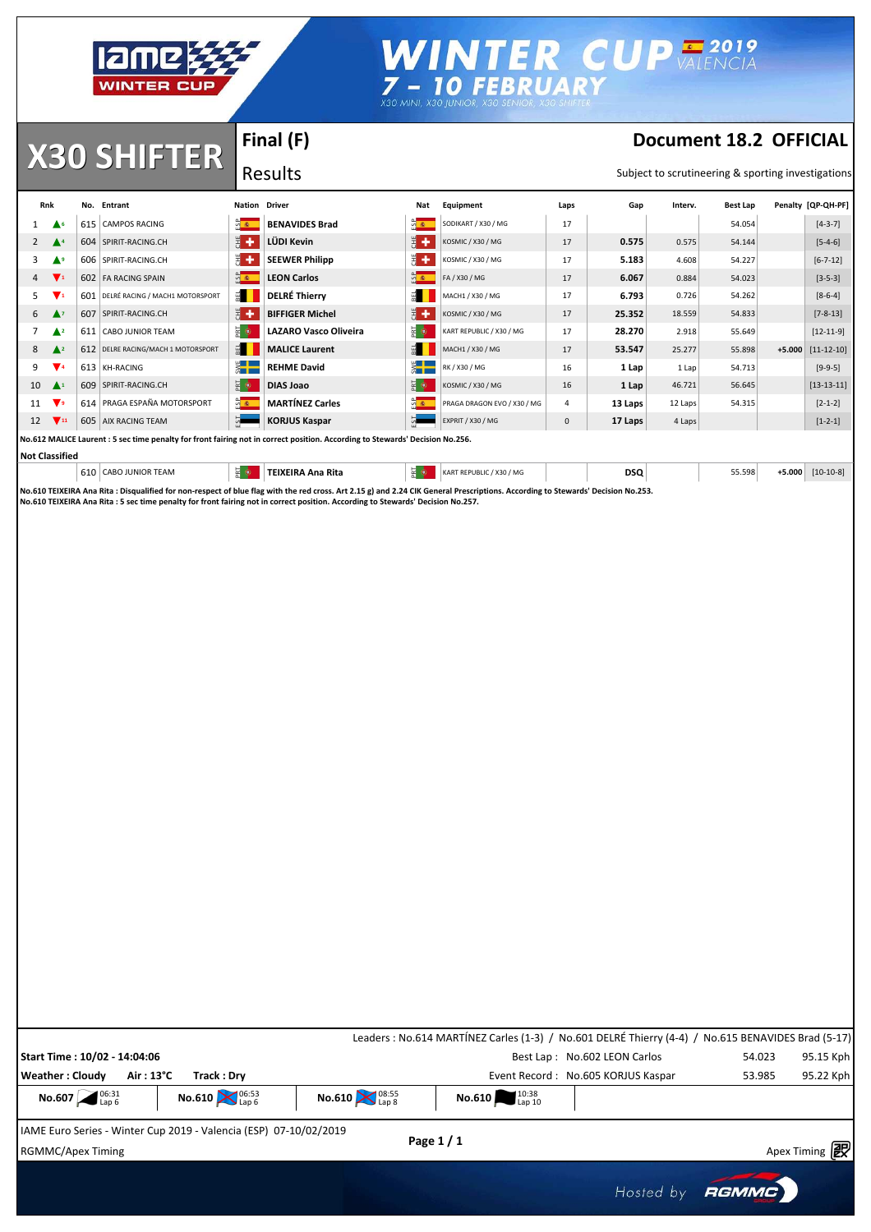

## WINTER CUP VALENCIA<br>7- 10 FEBRUARY<br>X30 MINI, X30 JUNIOR, X30 SENIGR, X30 SENIGRE

**X30 SHIFTER Document 18.2 OFFICIAL** 

**Final (F)**

Results

Subject to scrutineering & sporting investigations

|    | Rnk                           | No. Entrant                         | <b>Nation Driver</b>                            |                                                                                                                              | Nat                  | Equipment                   | Laps           | Gap     | Interv. | <b>Best Lap</b> |          | Penalty [QP-QH-PF] |
|----|-------------------------------|-------------------------------------|-------------------------------------------------|------------------------------------------------------------------------------------------------------------------------------|----------------------|-----------------------------|----------------|---------|---------|-----------------|----------|--------------------|
|    | $\triangle$ 6                 | 615 CAMPOS RACING                   | $\frac{1}{2}$                                   | <b>BENAVIDES Brad</b>                                                                                                        | $\sqrt{2}$           | SODIKART / X30 / MG         | 17             |         |         | 54.054          |          | $[4-3-7]$          |
| 2  | $\blacktriangle$ <sup>4</sup> | 604 SPIRIT-RACING.CH                | 男子                                              | LÜDI Kevin                                                                                                                   | H+                   | KOSMIC / X30 / MG           | 17             | 0.575   | 0.575   | 54.144          |          | $[5-4-6]$          |
| 3  | ▲                             | 606 SPIRIT-RACING.CH                | 퓕<br>۰                                          | <b>SEEWER Philipp</b>                                                                                                        | 胃干                   | KOSMIC / X30 / MG           | 17             | 5.183   | 4.608   | 54.227          |          | $[6 - 7 - 12]$     |
| 4  | $\mathbf{V}$ 1                | 602 FA RACING SPAIN                 | $rac{a}{2}$                                     | <b>LEON Carlos</b>                                                                                                           | $rac{a}{2}$          | FA / X30 / MG               | 17             | 6.067   | 0.884   | 54.023          |          | $[3-5-3]$          |
| 5. | v,                            | 601 DELRÉ RACING / MACH1 MOTORSPORT | $\mathbb{R}$                                    | <b>DELRÉ Thierry</b>                                                                                                         | 副                    | MACH1 / X30 / MG            | 17             | 6.793   | 0.726   | 54.262          |          | $[8-6-4]$          |
| 6  | $\blacktriangle$              | 607 SPIRIT-RACING.CH                | 医卡                                              | <b>BIFFIGER Michel</b>                                                                                                       | 医卡                   | KOSMIC / X30 / MG           | 17             | 25.352  | 18.559  | 54.833          |          | $[7 - 8 - 13]$     |
|    | $\triangle^2$                 | 611 CABO JUNIOR TEAM                | 품이                                              | <b>LAZARO Vasco Oliveira</b>                                                                                                 | 동아                   | KART REPUBLIC / X30 / MG    | 17             | 28.270  | 2.918   | 55.649          |          | $[12 - 11 - 9]$    |
| 8  | $\triangle$ <sup>2</sup>      | 612 DELRE RACING/MACH 1 MOTORSPORT  | $rac{1}{2}$                                     | <b>MALICE Laurent</b>                                                                                                        | 펢                    | MACH1 / X30 / MG            | 17             | 53.547  | 25.277  | 55.898          | $+5.000$ | $[11 - 12 - 10]$   |
| 9  | v.                            | 613 KH-RACING                       | $\overline{\mathbf{z}}$ $\overline{\mathbf{z}}$ | <b>REHME David</b>                                                                                                           | $rac{1}{2}$          | RK / X30 / MG               | 16             | 1 Lap   | 1 Lap   | 54.713          |          | $[9-9-5]$          |
| 10 | $\blacktriangle^1$            | 609 SPIRIT-RACING.CH                | 품 이                                             | <b>DIAS Joao</b>                                                                                                             | 동아                   | KOSMIC / X30 / MG           | 16             | 1 Lap   | 46.721  | 56.645          |          | $[13-13-11]$       |
| 11 | $\blacktriangledown$          | 614 PRAGA ESPAÑA MOTORSPORT         | $\sqrt{2}$                                      | <b>MARTÍNEZ Carles</b>                                                                                                       | $\frac{a}{\sqrt{2}}$ | PRAGA DRAGON EVO / X30 / MG | $\overline{4}$ | 13 Laps | 12 Laps | 54.315          |          | $[2 - 1 - 2]$      |
| 12 | $\blacktriangledown$ 11       | 605 AIX RACING TEAM                 | 51                                              | <b>KORJUS Kaspar</b>                                                                                                         | 51                   | EXPRIT / X30 / MG           | $\mathbf 0$    | 17 Laps | 4 Laps  |                 |          | $[1 - 2 - 1]$      |
|    |                               |                                     |                                                 | No.612 MALICE Laurent: 5 sec time penalty for front fairing not in correct position. According to Stewards' Decision No.256. |                      |                             |                |         |         |                 |          |                    |
|    |                               |                                     |                                                 |                                                                                                                              |                      |                             |                |         |         |                 |          |                    |

#### **Not Classified**

| 610<br>` JUNIOR TEAM<br>CABO. |      | í EIXEIRA Ana Rita | $\sim$ | (EPUBLIC / X30 / MG<br><b>KARTF</b> | <b>DSQ</b><br>$\sim$ | 55.598 | $[10-10-8]$<br>-5.000 |
|-------------------------------|------|--------------------|--------|-------------------------------------|----------------------|--------|-----------------------|
|                               | ---- |                    | .      |                                     |                      |        |                       |

No.610 TEIXEIRA Ana Rita : Disqualified for non-respect of blue flag with the red cross. Art 2.15 g) and 2.24 CIK General Prescriptions. According to Stewards' Decision No.253.<br>No.610 TEIXEIRA Ana Rita : 5 sec time penalty

|                                                                                                             |                                      |                                      | Leaders : No.614 MARTÍNEZ Carles (1-3) / No.601 DELRÉ Thierry (4-4) / No.615 BENAVIDES Brad (5-17) |                                    |        |           |
|-------------------------------------------------------------------------------------------------------------|--------------------------------------|--------------------------------------|----------------------------------------------------------------------------------------------------|------------------------------------|--------|-----------|
| Start Time: 10/02 - 14:04:06                                                                                |                                      |                                      |                                                                                                    | Best Lap: No.602 LEON Carlos       | 54.023 | 95.15 Kph |
| $Air:13^{\circ}C$<br>Weather: Cloudy                                                                        | Track: Drv                           |                                      |                                                                                                    | Event Record: No.605 KORJUS Kaspar | 53.985 | 95.22 Kph |
| No.607 $^{06:31}_{\text{Lap 6}}$                                                                            | No.610 $\sum_{\text{Lap 6}}^{06:53}$ | No.610 $\sum_{\text{Lap 8}}^{08:55}$ | <b>No.610</b> $10^{10.38}$                                                                         |                                    |        |           |
| $111175$ $\ldots$ $2.442$ $\ldots$ $2.442$ $\ldots$ $2040$ $\ldots$ $16122$ $\ldots$ $1500$ $\ldots$ $2040$ |                                      |                                      |                                                                                                    |                                    |        |           |

IAME Euro Series - Winter Cup 2019 - Valencia (ESP) 07-10/02/2019

Apex Timing - timing solutions and services http://www.apex-timing.com/

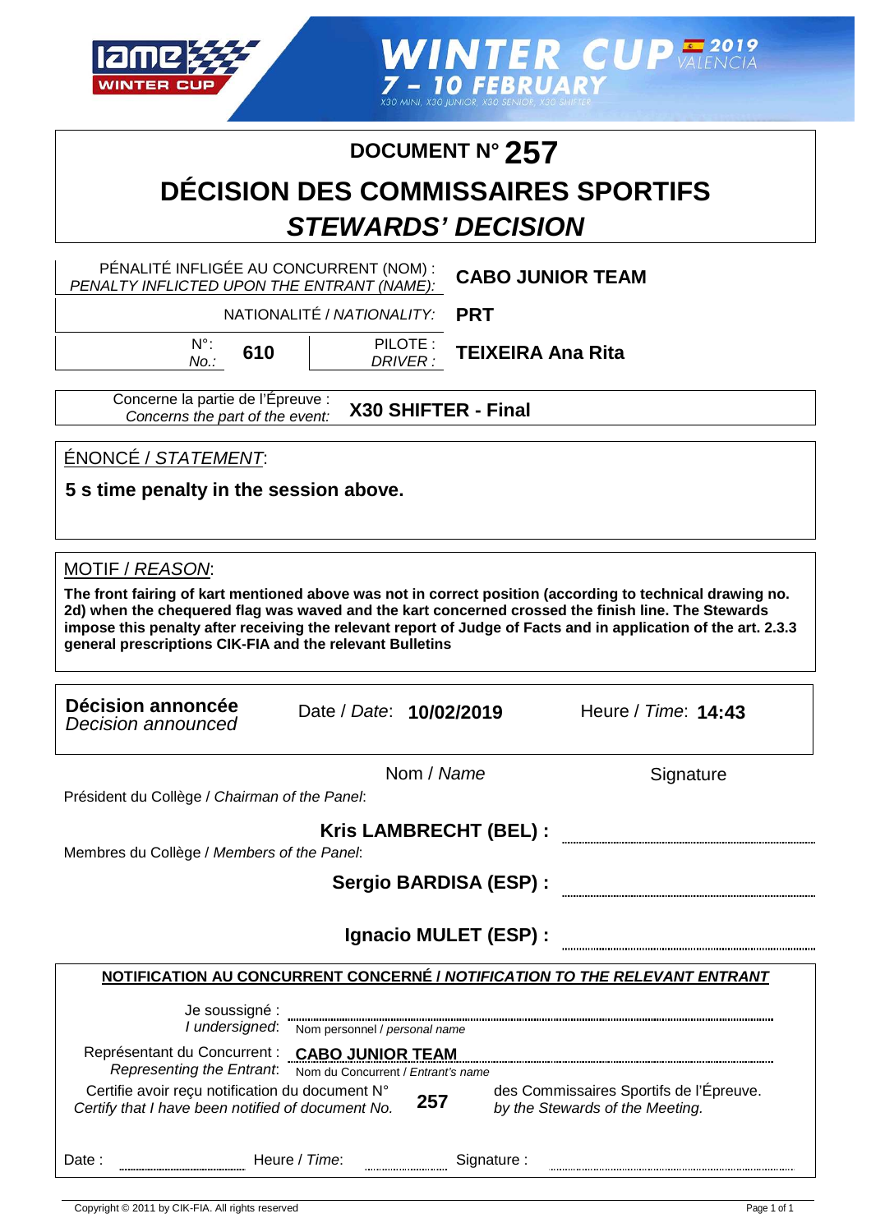

**WINTER CUP ALENCIA** 7 - 10 FEBRUAR

### **DOCUMENT N° 257**

### **DÉCISION DES COMMISSAIRES SPORTIFS STEWARDS' DECISION**

DRIVER :

|                                                                          |                                | PENALITE INFLIGEE AU CONCURRENT (NOM): CABO JUNIOR TEAM<br>PENALTY INFLICTED UPON THE ENTRANT (NAME): |
|--------------------------------------------------------------------------|--------------------------------|-------------------------------------------------------------------------------------------------------|
|                                                                          | NATIONALITÉ / NATIONALITY: PRT |                                                                                                       |
| $N^{\circ}$ : $\epsilon$ <sub>10</sub>   PILOTE: $\tau$ EIVEIDA Ano Dito |                                |                                                                                                       |

**610 TEIXEIRA Ana Rita**

Concerne la partie de l'Épreuve : Concerns the part of the event: **X30 SHIFTER - Final**

ÉNONCÉ / STATEMENT:

No.:

**5 s time penalty in the session above.**

#### MOTIF / REASON:

**The front fairing of kart mentioned above was not in correct position (according to technical drawing no. 2d) when the chequered flag was waved and the kart concerned crossed the finish line. The Stewards impose this penalty after receiving the relevant report of Judge of Facts and in application of the art. 2.3.3 general prescriptions CIK-FIA and the relevant Bulletins**

| Décision annoncée<br>Decision announced       | Date / Date: 10/02/2019 | Heure / Time: <b>14:43</b> |
|-----------------------------------------------|-------------------------|----------------------------|
| Président du Collège / Chairman of the Panel: | Nom / Name              | Signature                  |
| Membres du Collège / Members of the Panel:    | Kris LAMBRECHT (BEL) :  |                            |
|                                               | Sergio BARDISA (ESP) :  |                            |
|                                               | Ignacio MULET (ESP) :   |                            |

#### **NOTIFICATION AU CONCURRENT CONCERNÉ / NOTIFICATION TO THE RELEVANT ENTRANT**

| Je soussigné :<br>I undersigned:                                                                     |               | Nom personnel / personal name                                 |             |                                                                            |
|------------------------------------------------------------------------------------------------------|---------------|---------------------------------------------------------------|-------------|----------------------------------------------------------------------------|
| Représentant du Concurrent :<br>Representing the Entrant.                                            |               | <b>CABO JUNIOR TEAM</b><br>Nom du Concurrent / Entrant's name |             |                                                                            |
| Certifie avoir reçu notification du document N°<br>Certify that I have been notified of document No. |               | 257                                                           |             | des Commissaires Sportifs de l'Épreuve.<br>by the Stewards of the Meeting. |
| Date :                                                                                               | Heure / Time: | ,,,,,,,,,,,,,,,,,,,,,,,,,,,,                                  | Signature : |                                                                            |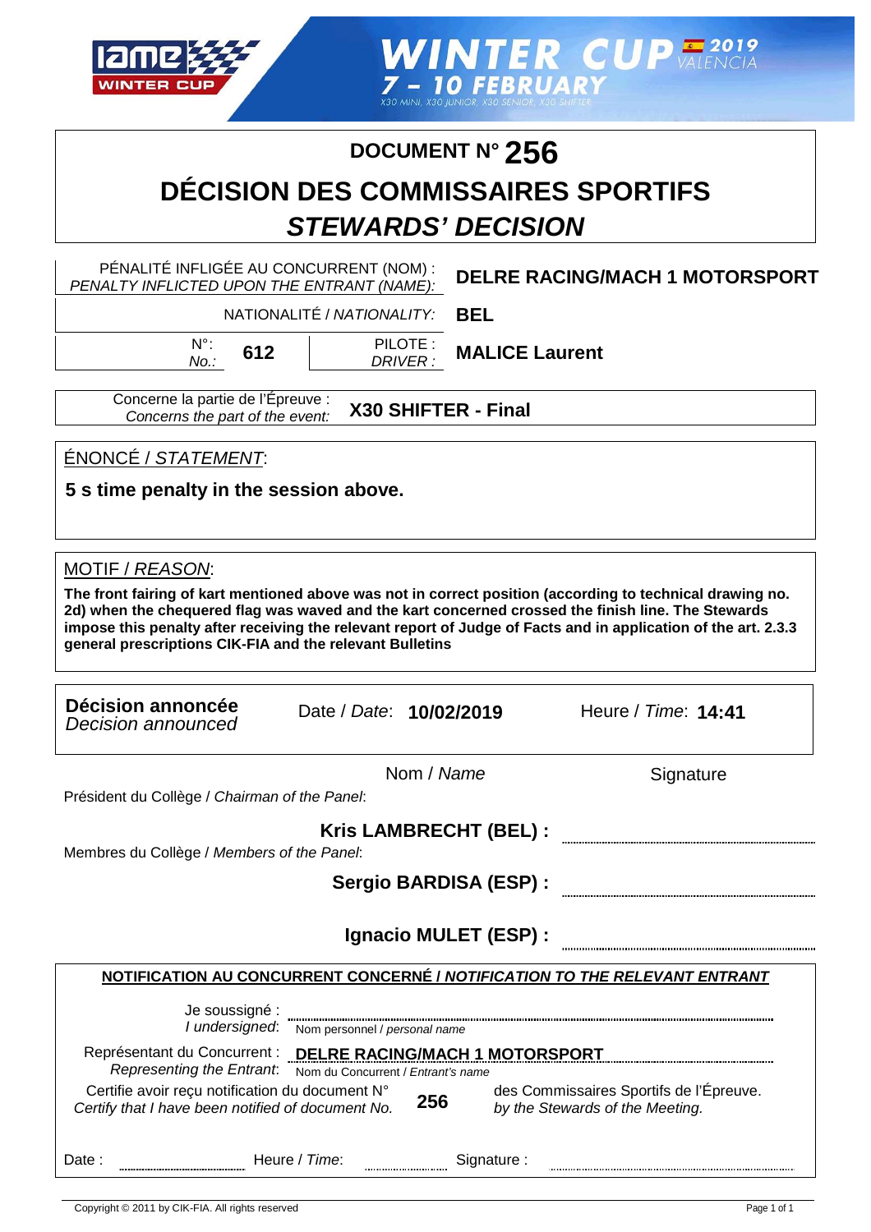

WINTER CUP VALENCIA<br>
THE RUARY<br>
X30 MINI, X30 JUNIOR, X30 SENIGR, X30 SENIGR

### **DOCUMENT N° 256**

### **DÉCISION DES COMMISSAIRES SPORTIFS STEWARDS' DECISION**

| PÉNALITÉ INFLIGÉE AU CONCURRENT (NOM) :<br>PENALTY INFLICTED UPON THE ENTRANT (NAME):                                                                                                                                                                                                                                                                                                                            | <b>DELRE RACING/MACH 1 MOTORSPORT</b>                                      |
|------------------------------------------------------------------------------------------------------------------------------------------------------------------------------------------------------------------------------------------------------------------------------------------------------------------------------------------------------------------------------------------------------------------|----------------------------------------------------------------------------|
| NATIONALITÉ / NATIONALITY:                                                                                                                                                                                                                                                                                                                                                                                       | <b>BEL</b>                                                                 |
| $N^{\circ}$ :<br>PILOTE:<br>612<br>DRIVER:<br>$No.$ :                                                                                                                                                                                                                                                                                                                                                            | <b>MALICE Laurent</b>                                                      |
| Concerne la partie de l'Épreuve :<br>X30 SHIFTER - Final<br>Concerns the part of the event:                                                                                                                                                                                                                                                                                                                      |                                                                            |
| ÉNONCÉ / STATEMENT:<br>5 s time penalty in the session above.                                                                                                                                                                                                                                                                                                                                                    |                                                                            |
| MOTIF / REASON:<br>The front fairing of kart mentioned above was not in correct position (according to technical drawing no.<br>2d) when the chequered flag was waved and the kart concerned crossed the finish line. The Stewards<br>impose this penalty after receiving the relevant report of Judge of Facts and in application of the art. 2.3.3<br>general prescriptions CIK-FIA and the relevant Bulletins |                                                                            |
| Décision annoncée<br>Date / Date: 10/02/2019<br><b>Decision announced</b>                                                                                                                                                                                                                                                                                                                                        | Heure / Time: 14:41                                                        |
| Nom / Name<br>Président du Collège / Chairman of the Panel:                                                                                                                                                                                                                                                                                                                                                      | Signature                                                                  |
| Kris LAMBRECHT (BEL) :<br>Membres du Collège / Members of the Panel.<br>Sergio BARDISA (ESP) :                                                                                                                                                                                                                                                                                                                   |                                                                            |
|                                                                                                                                                                                                                                                                                                                                                                                                                  | Ignacio MULET (ESP) :                                                      |
| <b>NOTIFICATION AU CONCURRENT CONCERNÉ / NOTIFICATION TO THE RELEVANT ENTRANT</b>                                                                                                                                                                                                                                                                                                                                |                                                                            |
| Je soussigné :<br>I undersigned: Nom personnel / personal name                                                                                                                                                                                                                                                                                                                                                   |                                                                            |
| Représentant du Concurrent : DELRE RACING/MACH 1 MOTORSPORT<br>Representing the Entrant.<br>Nom du Concurrent / Entrant's name<br>Certifie avoir reçu notification du document N°<br>256<br>Certify that I have been notified of document No.                                                                                                                                                                    | des Commissaires Sportifs de l'Épreuve.<br>by the Stewards of the Meeting. |
| Heure / Time:<br>Date:                                                                                                                                                                                                                                                                                                                                                                                           | Signature:                                                                 |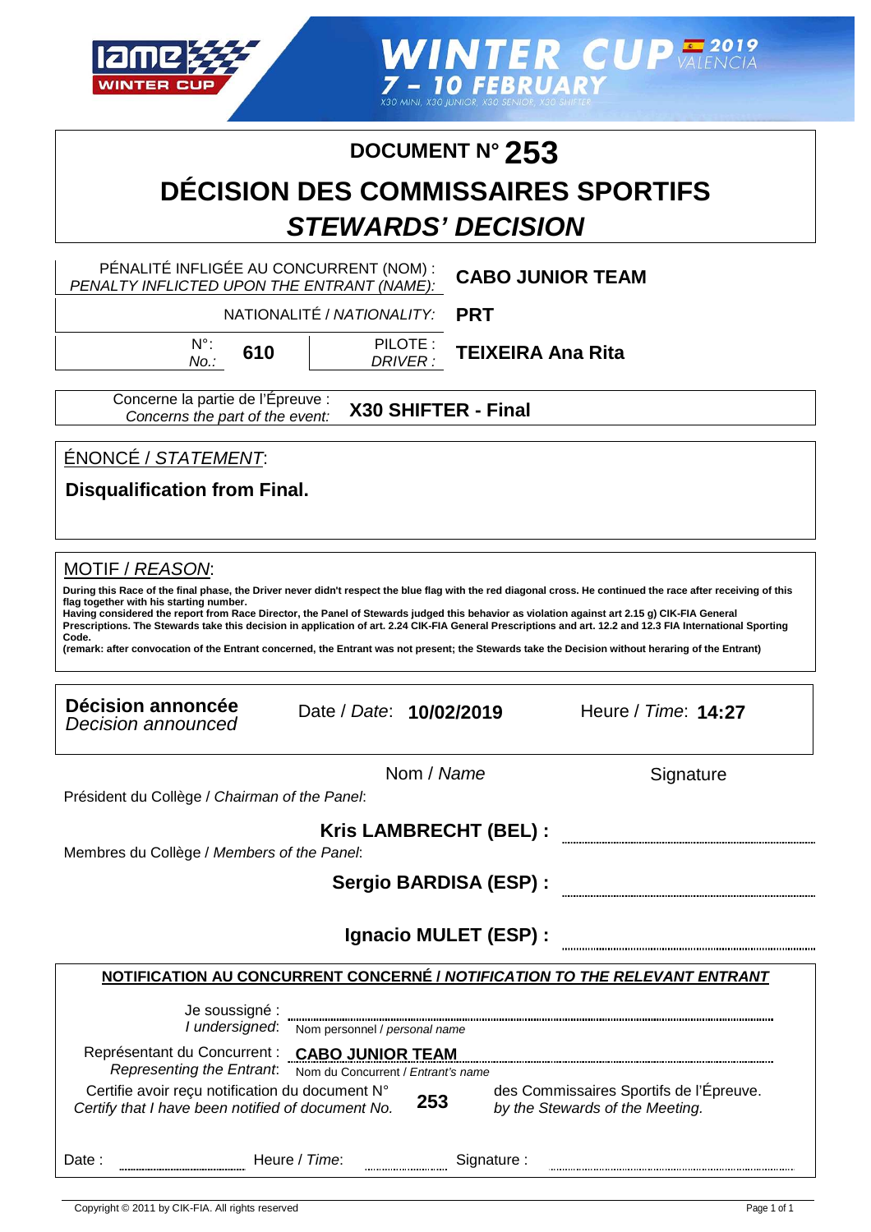

**WINTER CUPERING** 7 - 10 FEBRUAR

#### **DOCUMENT N° 253**

### **DÉCISION DES COMMISSAIRES SPORTIFS STEWARDS' DECISION**

PÉNALITÉ INFLIGÉE AU CONCURRENT (NOM) : PENALTY INFLICTED UPON THE ENTRANT (NAME):

**CABO JUNIOR TEAM**

NATIONALITÉ / NATIONALITY:

**PRT**

N°: No.:

**610 TEIXEIRA Ana Rita**

Concerne la partie de l'Épreuve : Concerns the part of the event:

**X30 SHIFTER - Final**

PILOTE : DRIVER :

ÉNONCÉ / STATEMENT:

**Disqualification from Final.**

#### MOTIF / REASON:

**During this Race of the final phase, the Driver never didn't respect the blue flag with the red diagonal cross. He continued the race after receiving of this flag together with his starting number.**

**Having considered the report from Race Director, the Panel of Stewards judged this behavior as violation against art 2.15 g) CIK-FIA General Prescriptions. The Stewards take this decision in application of art. 2.24 CIK-FIA General Prescriptions and art. 12.2 and 12.3 FIA International Sporting Code.**

**(remark: after convocation of the Entrant concerned, the Entrant was not present; the Stewards take the Decision without heraring of the Entrant)**

| Décision annoncée<br>Decision announced                                                                       | Date / Date: 10/02/2019                      |                        | Heure / Time: 14:27                                                        |  |
|---------------------------------------------------------------------------------------------------------------|----------------------------------------------|------------------------|----------------------------------------------------------------------------|--|
|                                                                                                               |                                              | Nom / Name             | Signature                                                                  |  |
| Président du Collège / Chairman of the Panel:                                                                 |                                              |                        |                                                                            |  |
| Membres du Collège / Members of the Panel:                                                                    |                                              | Kris LAMBRECHT (BEL) : |                                                                            |  |
|                                                                                                               |                                              | Sergio BARDISA (ESP) : |                                                                            |  |
|                                                                                                               |                                              | Ignacio MULET (ESP) :  |                                                                            |  |
|                                                                                                               |                                              |                        | NOTIFICATION AU CONCURRENT CONCERNÉ / NOTIFICATION TO THE RELEVANT ENTRANT |  |
| Je soussigné :                                                                                                | I undersigned: Nom personnel / personal name |                        |                                                                            |  |
| Représentant du Concurrent : CABO JUNIOR TEAM<br>Representing the Entrant: Nom du Concurrent / Entrant's name |                                              |                        |                                                                            |  |
| Certifie avoir reçu notification du document N°<br>Certify that I have been notified of document No.          |                                              | 253                    | des Commissaires Sportifs de l'Épreuve.<br>by the Stewards of the Meeting. |  |
| Date:                                                                                                         | Heure / Time:                                |                        | Signature :                                                                |  |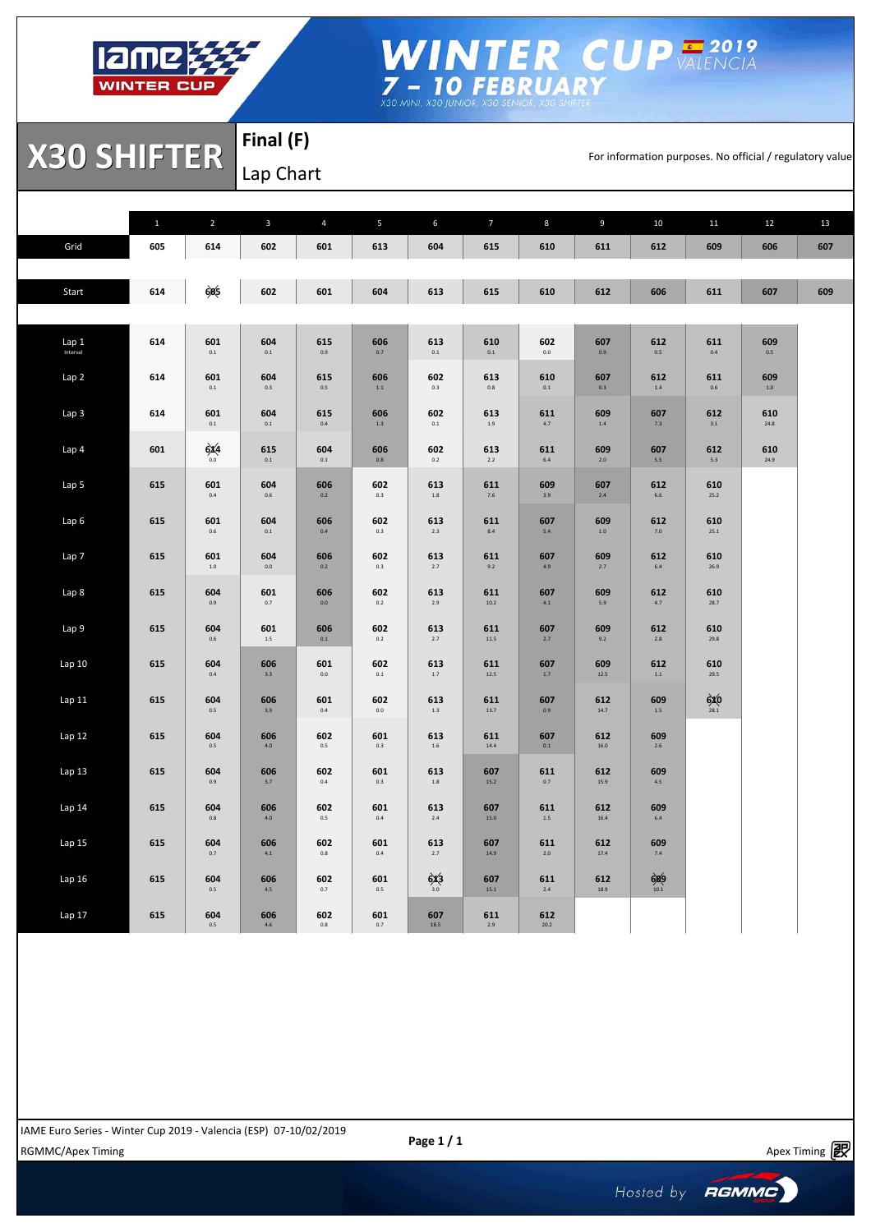

## WINTER CUP VALENCIA<br>7- 10 FEBRUARY<br>X30 MINI, X30 JUNIOR, X30 SENIGR, X30 SENIGRE

**X30 SHIFTER** FINAL TER TRIPORTER TRIPORTER

**Final (F)** Lap Chart

|          | $\mathbf{1}$ | $\overline{2}$ | $\mathbf{3}$   | $\overline{4}$ | 5              | 6              | $\overline{7}$ | 8              | 9              | 10              | 11             | 12             | 13  |
|----------|--------------|----------------|----------------|----------------|----------------|----------------|----------------|----------------|----------------|-----------------|----------------|----------------|-----|
| Grid     | 605          | 614            | 602            | 601            | 613            | 604            | 615            | 610            | 611            | 612             | 609            | 606            | 607 |
|          |              |                |                |                |                |                |                |                |                |                 |                |                |     |
| Start    | 614          | 605            | 602            | 601            | 604            | 613            | 615            | 610            | 612            | 606             | 611            | 607            | 609 |
|          |              |                |                |                |                |                |                |                |                |                 |                |                |     |
| Lap 1    | 614          | 601            | 604            | 615            | 606            | 613            | 610            | 602            | 607            | 612             | 611            | 609            |     |
| Interval |              | $0.1\,$        | $\mathbf{0.1}$ | $0.9\,$        | $0.7\,$        | $0.1\,$        | $0.1\,$        | $_{0.0}$       | $0.9\,$        | $0.5\,$         | $0.4\,$        | $0.5\,$        |     |
| Lap 2    | 614          | 601<br>$0.1\,$ | 604<br>0.3     | 615<br>$0.5\,$ | 606<br>$1.1\,$ | 602<br>0.3     | 613<br>$0.8\,$ | 610<br>$0.1\,$ | 607<br>0.3     | 612<br>$1.4\,$  | 611<br>0.6     | 609<br>$1.0\,$ |     |
|          |              |                |                |                |                |                |                |                |                |                 |                |                |     |
| Lap 3    | 614          | 601<br>$0.1\,$ | 604<br>$0.1\,$ | 615<br>$0.4\,$ | 606<br>$1.3\,$ | 602<br>$0.1\,$ | 613<br>$1.9\,$ | 611<br>4.7     | 609<br>$1.4\,$ | 607<br>7.3      | 612<br>$3.1\,$ | 610<br>24.8    |     |
| Lap 4    | 601          | 6x4            | 615            | 604            | 606            | 602            | 613            | 611            | 609            | 607             | 612            | 610            |     |
|          |              | 0.0            | $\mathbf{0.1}$ | $0.1\,$        | $0.8\,$        | $0.2\,$        | 2.2            | $6.4\,$        | $2.0\,$        | $5.5\,$         | 5.3            | 24.9           |     |
| Lap 5    | 615          | 601<br>$0.4\,$ | 604<br>0.6     | 606<br>$0.2\,$ | 602<br>$0.3\,$ | 613<br>$1.8\,$ | 611<br>$7.6\,$ | 609<br>3.9     | 607<br>$2.4\,$ | 612<br>$6.6\,$  | 610<br>25.2    |                |     |
| Lap 6    | 615          | 601            | 604            | 606            | 602            | 613            | 611            | 607            | 609            | 612             | 610            |                |     |
|          |              | $0.6\,$        | $0.1\,$        | 0.4            | $0.3\,$        | $2.3\,$        | $8.4\,$        | $5.4\,$        | $1.0\,$        | $7.0\,$         | 25.1           |                |     |
| Lap 7    | 615          | 601<br>$1.0\,$ | 604<br>$0.0\,$ | 606<br>0.2     | 602<br>$0.3\,$ | 613<br>2.7     | 611<br>9.2     | 607<br>4.9     | 609<br>2.7     | 612<br>$6.4\,$  | 610<br>26.9    |                |     |
|          |              |                |                |                |                |                |                |                |                |                 |                |                |     |
| Lap 8    | 615          | 604<br>$0.9\,$ | 601<br>$0.7\,$ | 606<br>$0.0\,$ | 602<br>$0.2\,$ | 613<br>2.9     | 611<br>10.2    | 607<br>$4.1\,$ | 609<br>$5.9$   | 612<br>4.7      | 610<br>28.7    |                |     |
| Lap 9    | 615          | 604            | 601            | 606            | 602            | 613            | 611            | 607            | 609            | 612             | 610            |                |     |
|          |              | 0.6            | $1.5\,$        | 0.1            | $0.2\,$        | 2.7            | $11.5\,$       | 2.7            | $9.2\,$        | 2.8             | 29.8           |                |     |
| Lap 10   | 615          | 604<br>$0.4\,$ | 606<br>$3.3\,$ | 601<br>$0.0\,$ | 602<br>$0.1\,$ | 613<br>$1.7\,$ | 611<br>12.5    | 607<br>$1.7\,$ | 609<br>12.5    | 612<br>$1.1\,$  | 610<br>29.5    |                |     |
| Lap11    | 615          | 604            | 606            | 601            | 602            | 613            | 611            | 607            | 612            | 609             | 6x0            |                |     |
|          |              | $0.5\,$        | 3.9            | $0.4\,$        | $_{0.0}$       | $1.3\,$        | 13.7           | 0.9            | 14.7           | $1.5\,$         | 28.1           |                |     |
| Lap 12   | 615          | 604<br>0.5     | 606<br>4.0     | 602<br>$0.5\,$ | 601<br>$0.3\,$ | 613<br>$1.6\,$ | 611<br>14.4    | 607<br>$0.1\,$ | 612<br>16.0    | 609<br>2.6      |                |                |     |
|          |              |                |                |                |                |                |                |                |                |                 |                |                |     |
| Lap 13   | 615          | 604<br>$0.9\,$ | 606<br>$3.7\,$ | 602<br>$0.4\,$ | 601<br>$0.3\,$ | 613<br>$1.8\,$ | 607<br>15.2    | 611<br>$0.7\,$ | 612<br>15.9    | 609<br>$4.5\,$  |                |                |     |
| Lap 14   | 615          | 604            | 606            | 602            | 601            | 613            | 607            | 611            | 612            | 609             |                |                |     |
|          |              | $0.8\,$        | 4.0            | $0.5\,$        | $0.4\,$        | $2.4\,$        | 15.0           | $1.5\,$        | 16.4           | $6.4\,$         |                |                |     |
| Lap 15   | 615          | 604<br>$0.7\,$ | 606<br>$4.1\,$ | 602<br>$0.8\,$ | 601<br>0.4     | 613<br>2.7     | 607<br>14.9    | 611<br>$2.0$   | 612<br>17.4    | 609<br>$7.4\,$  |                |                |     |
| Lap 16   | 615          | 604            | 606            | 602            | 601            | 6x3            | 607            | 611            | 612            |                 |                |                |     |
|          |              | $0.5\,$        | 4.5            | 0.7            | $0.5\,$        | 3.0            | 15.1           | $2.4\,$        | 18.9           | $609$<br>$10.1$ |                |                |     |
| Lap 17   | 615          | 604<br>$0.5\,$ | 606<br>4.6     | 602<br>$0.8\,$ | 601<br>0.7     | 607<br>18.5    | 611<br>$2.9\,$ | 612<br>20.2    |                |                 |                |                |     |
|          |              |                |                |                |                |                |                |                |                |                 |                |                |     |

Apex Timing - timing solutions and services http://www.apex-timing.com/

RGMMC/Apex Timing **Apex Timing** Apex Timing **Apex Timing**  $\mathbb{R}^9$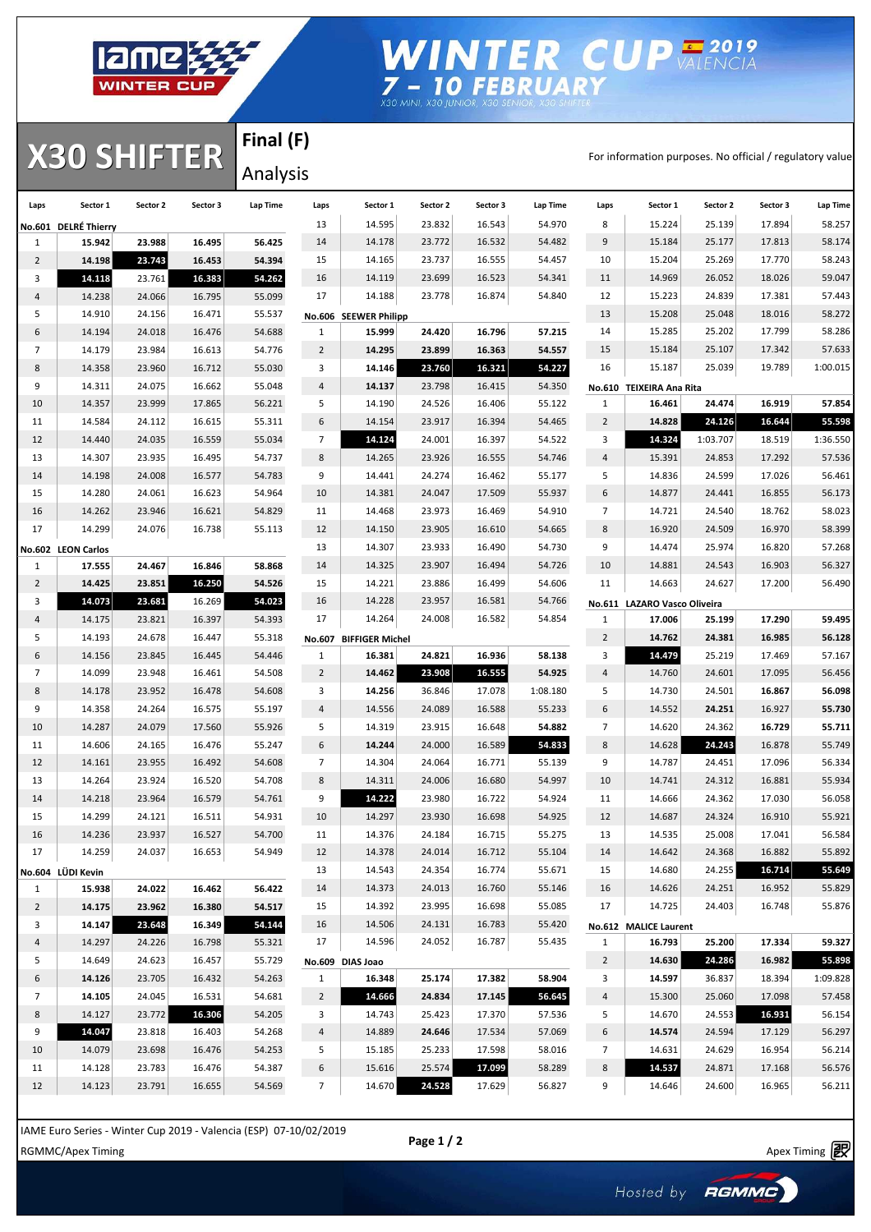

# WINTER CUP VALENCIA<br>
7 - 10 FEBRUARY<br>
X30 MINI, X30 JUNIOR, X30 SENIGR, X30 SENIGR

**X30 SHIFTER** Analysis

**Final (F)** Analysis

| Laps           | Sector 1             | Sector 2         | Sector 3         | Lap Time         | Laps                | Sector 1               | Sector 2         | Sector 3         | Lap Time         | Laps           | Sector 1                     | Sector 2         | Sector 3         | Lap Time         |
|----------------|----------------------|------------------|------------------|------------------|---------------------|------------------------|------------------|------------------|------------------|----------------|------------------------------|------------------|------------------|------------------|
|                | No.601 DELRÉ Thierry |                  |                  |                  | 13                  | 14.595                 | 23.832           | 16.543           | 54.970           | 8              | 15.224                       | 25.139           | 17.894           | 58.257           |
| 1              | 15.942               | 23.988           | 16.495           | 56.425           | 14                  | 14.178                 | 23.772           | 16.532           | 54.482           | 9              | 15.184                       | 25.177           | 17.813           | 58.174           |
| $\overline{2}$ | 14.198               | 23.743           | 16.453           | 54.394           | 15                  | 14.165                 | 23.737           | 16.555           | 54.457           | 10             | 15.204                       | 25.269           | 17.770           | 58.243           |
| 3              | 14.118               | 23.761           | 16.383           | 54.262           | 16                  | 14.119                 | 23.699           | 16.523           | 54.341           | 11             | 14.969                       | 26.052           | 18.026           | 59.047           |
| 4              | 14.238               | 24.066           | 16.795           | 55.099           | 17                  | 14.188                 | 23.778           | 16.874           | 54.840           | 12             | 15.223                       | 24.839           | 17.381           | 57.443           |
| 5              | 14.910               | 24.156           | 16.471           | 55.537           |                     | No.606 SEEWER Philipp  |                  |                  |                  | 13             | 15.208                       | 25.048           | 18.016           | 58.272           |
| 6              | 14.194               | 24.018           | 16.476           | 54.688           | $\mathbf{1}$        | 15.999                 | 24.420           | 16.796           | 57.215           | 14             | 15.285                       | 25.202           | 17.799           | 58.286           |
| $\overline{7}$ | 14.179               | 23.984           | 16.613           | 54.776           | $\overline{2}$      | 14.295                 | 23.899           | 16.363           | 54.557           | 15             | 15.184                       | 25.107           | 17.342           | 57.633           |
| 8              | 14.358               | 23.960           | 16.712           | 55.030           | 3                   | 14.146                 | 23.760           | 16.321           | 54.227           | 16             | 15.187                       | 25.039           | 19.789           | 1:00.015         |
| 9              | 14.311               | 24.075           | 16.662           | 55.048           | $\overline{a}$      | 14.137                 | 23.798           | 16.415           | 54.350           |                | No.610 TEIXEIRA Ana Rita     |                  |                  |                  |
| 10             | 14.357               | 23.999           | 17.865           | 56.221           | 5                   | 14.190                 | 24.526           | 16.406           | 55.122           | $\mathbf{1}$   | 16.461                       | 24.474           | 16.919           | 57.854           |
| 11             | 14.584               | 24.112           | 16.615           | 55.311           | 6                   | 14.154                 | 23.917           | 16.394           | 54.465           | $\overline{2}$ | 14.828                       | 24.126           | 16.644           | 55.598           |
| 12             | 14.440               | 24.035           | 16.559           | 55.034           | $\overline{7}$      | 14.124                 | 24.001           | 16.397           | 54.522           | 3              | 14.324                       | 1:03.707         | 18.519           | 1:36.550         |
| 13             | 14.307               | 23.935           | 16.495           | 54.737           | 8                   | 14.265                 | 23.926           | 16.555           | 54.746           | 4              | 15.391                       | 24.853           | 17.292           | 57.536           |
| 14             | 14.198               | 24.008           | 16.577           | 54.783           | 9                   | 14.441                 | 24.274           | 16.462           | 55.177           | 5              | 14.836                       | 24.599           | 17.026           | 56.461           |
| 15             | 14.280               | 24.061           | 16.623           | 54.964           | 10                  | 14.381                 | 24.047           | 17.509           | 55.937           | 6              | 14.877                       | 24.441           | 16.855           | 56.173           |
| 16             | 14.262               | 23.946           | 16.621           | 54.829           | 11                  | 14.468                 | 23.973           | 16.469           | 54.910           | $\overline{7}$ | 14.721                       | 24.540           | 18.762           | 58.023           |
| 17             | 14.299               | 24.076           | 16.738           | 55.113           | 12                  | 14.150                 | 23.905           | 16.610           | 54.665           | 8              | 16.920                       | 24.509           | 16.970           | 58.399           |
|                | No.602 LEON Carlos   |                  |                  |                  | 13                  | 14.307                 | 23.933           | 16.490           | 54.730           | 9              | 14.474                       | 25.974           | 16.820           | 57.268           |
| 1              | 17.555               | 24.467           | 16.846           | 58.868           | 14                  | 14.325                 | 23.907           | 16.494           | 54.726           | 10             | 14.881                       | 24.543           | 16.903           | 56.327           |
| $\overline{2}$ | 14.425               | 23.851           | 16.250           | 54.526           | 15                  | 14.221                 | 23.886           | 16.499           | 54.606           | 11             | 14.663                       | 24.627           | 17.200           | 56.490           |
| 3              | 14.073               | 23.681           | 16.269           | 54.023           | 16                  | 14.228                 | 23.957           | 16.581           | 54.766           |                | No.611 LAZARO Vasco Oliveira |                  |                  |                  |
| 4              | 14.175               | 23.821           | 16.397           | 54.393           | 17                  | 14.264                 | 24.008           | 16.582           | 54.854           | $\mathbf{1}$   | 17.006                       | 25.199           | 17.290           | 59.495           |
| 5              | 14.193               | 24.678           | 16.447           | 55.318           | No.607              | <b>BIFFIGER Michel</b> |                  |                  |                  | $\overline{2}$ | 14.762                       | 24.381           | 16.985           | 56.128           |
| 6              | 14.156               | 23.845           | 16.445           | 54.446           | 1                   | 16.381                 | 24.821           | 16.936           | 58.138           | 3              | 14.479                       | 25.219           | 17.469           | 57.167           |
| $\overline{7}$ | 14.099               | 23.948           | 16.461           | 54.508           | $\overline{2}$      | 14.462                 | 23.908           | 16.555           | 54.925           | 4              | 14.760                       | 24.601           | 17.095           | 56.456           |
| 8              | 14.178               | 23.952           | 16.478           | 54.608           | 3                   | 14.256                 | 36.846           | 17.078           | 1:08.180         | 5              | 14.730                       | 24.501           | 16.867           | 56.098           |
| 9              | 14.358               | 24.264           | 16.575           | 55.197           | 4                   | 14.556                 | 24.089           | 16.588           | 55.233           | 6              | 14.552                       | 24.251           | 16.927           | 55.730           |
| 10             | 14.287               | 24.079           | 17.560           | 55.926           | 5                   | 14.319                 | 23.915           | 16.648           | 54.882           | 7              | 14.620                       | 24.362           | 16.729           | 55.711           |
| 11             | 14.606               | 24.165           | 16.476           | 55.247           | 6<br>$\overline{7}$ | 14.244                 | 24.000           | 16.589           | 54.833           | 8              | 14.628                       | 24.243           | 16.878           | 55.749           |
| 12<br>13       | 14.161<br>14.264     | 23.955<br>23.924 | 16.492<br>16.520 | 54.608           | 8                   | 14.304                 | 24.064<br>24.006 | 16.771           | 55.139           | 9              | 14.787<br>14.741             | 24.451           | 17.096           | 56.334           |
| 14             | 14.218               | 23.964           | 16.579           | 54.708<br>54.761 | 9                   | 14.311<br>14.222       | 23.980           | 16.680<br>16.722 | 54.997<br>54.924 | 10<br>11       | 14.666                       | 24.312<br>24.362 | 16.881<br>17.030 | 55.934<br>56.058 |
| 15             | 14.299               | 24.121           | 16.511           | 54.931           | 10                  | 14.297                 | 23.930           | 16.698           | 54.925           | 12             | 14.687                       | 24.324           | 16.910           | 55.921           |
| 16             | 14.236               | 23.937           | 16.527           | 54.700           | 11                  | 14.376                 | 24.184           | 16.715           | 55.275           | 13             | 14.535                       | 25.008           | 17.041           | 56.584           |
| 17             | 14.259               | 24.037           | 16.653           | 54.949           | 12                  | 14.378                 | 24.014           | 16.712           | 55.104           | 14             | 14.642                       | 24.368           | 16.882           | 55.892           |
|                | No.604 LÜDI Kevin    |                  |                  |                  | 13                  | 14.543                 | 24.354           | 16.774           | 55.671           | 15             | 14.680                       | 24.255           | 16.714           | 55.649           |
| $\mathbf{1}$   | 15.938               | 24.022           | 16.462           | 56.422           | 14                  | 14.373                 | 24.013           | 16.760           | 55.146           | 16             | 14.626                       | 24.251           | 16.952           | 55.829           |
| $\overline{2}$ | 14.175               | 23.962           | 16.380           | 54.517           | 15                  | 14.392                 | 23.995           | 16.698           | 55.085           | 17             | 14.725                       | 24.403           | 16.748           | 55.876           |
| 3              | 14.147               | 23.648           | 16.349           | 54.144           | 16                  | 14.506                 | 24.131           | 16.783           | 55.420           |                | No.612 MALICE Laurent        |                  |                  |                  |
| 4              | 14.297               | 24.226           | 16.798           | 55.321           | 17                  | 14.596                 | 24.052           | 16.787           | 55.435           | $\mathbf{1}$   | 16.793                       | 25.200           | 17.334           | 59.327           |
| 5              | 14.649               | 24.623           | 16.457           | 55.729           |                     | No.609 DIAS Joao       |                  |                  |                  | $\overline{2}$ | 14.630                       | 24.286           | 16.982           | 55.898           |
| 6              | 14.126               | 23.705           | 16.432           | 54.263           | $\mathbf{1}$        | 16.348                 | 25.174           | 17.382           | 58.904           | 3              | 14.597                       | 36.837           | 18.394           | 1:09.828         |
| $\overline{7}$ | 14.105               | 24.045           | 16.531           | 54.681           | $\overline{2}$      | 14.666                 | 24.834           | 17.145           | 56.645           | 4              | 15.300                       | 25.060           | 17.098           | 57.458           |
| 8              | 14.127               | 23.772           | 16.306           | 54.205           | 3                   | 14.743                 | 25.423           | 17.370           | 57.536           | 5              | 14.670                       | 24.553           | 16.931           | 56.154           |
| 9              | 14.047               | 23.818           | 16.403           | 54.268           | 4                   | 14.889                 | 24.646           | 17.534           | 57.069           | 6              | 14.574                       | 24.594           | 17.129           | 56.297           |
| 10             | 14.079               | 23.698           | 16.476           | 54.253           | 5                   | 15.185                 | 25.233           | 17.598           | 58.016           | 7              | 14.631                       | 24.629           | 16.954           | 56.214           |
| 11             | 14.128               | 23.783           | 16.476           | 54.387           | 6                   | 15.616                 | 25.574           | 17.099           | 58.289           | 8              | 14.537                       | 24.871           | 17.168           | 56.576           |
| 12             | 14.123               | 23.791           | 16.655           | 54.569           | $\overline{7}$      | 14.670                 | 24.528           | 17.629           | 56.827           | 9              | 14.646                       | 24.600           | 16.965           | 56.211           |

IAME Euro Series - Winter Cup 2019 - Valencia (ESP) 07-10/02/2019

Apex Timing - timing solutions and services http://www.apex-timing.com/

**Page 1 / 2**

RGMMC/Apex Timing  $\mathbb{R}^2$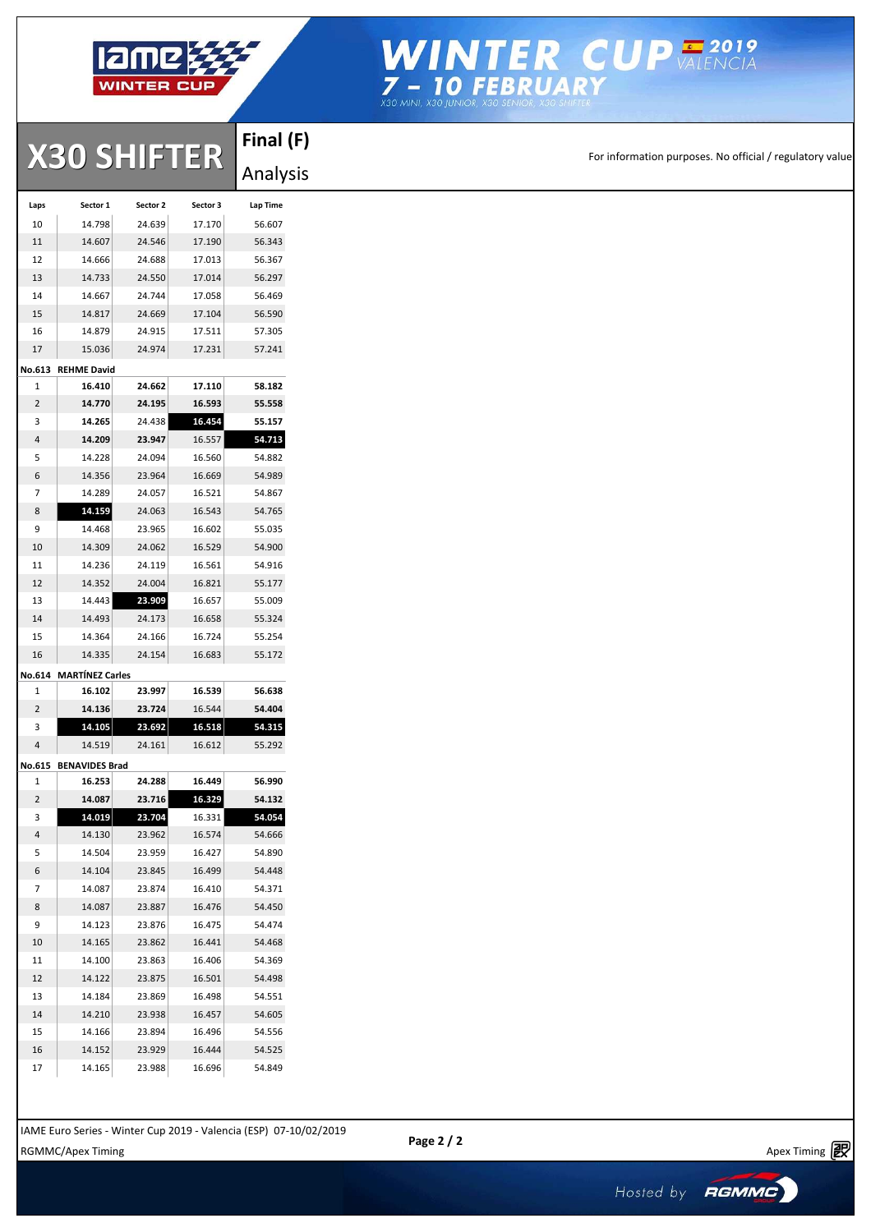

# WINTER CUP VALENCIA<br> **7 - 10 FEBRUARY**<br>
X30 MINI, X30 JUNIOR, X30 SENIGR, X30 SHIFTER

|        |                        |          |          | Final (F) |
|--------|------------------------|----------|----------|-----------|
|        | <b>X30 SHIFTER</b>     |          |          | Analysis  |
| Laps   | Sector 1               | Sector 2 | Sector 3 | Lap Time  |
| 10     | 14.798                 | 24.639   | 17.170   | 56.607    |
| 11     | 14.607                 | 24.546   | 17.190   | 56.343    |
| 12     | 14.666                 | 24.688   | 17.013   | 56.367    |
| 13     | 14.733                 | 24.550   | 17.014   | 56.297    |
| 14     | 14.667                 | 24.744   | 17.058   | 56.469    |
| 15     | 14.817                 | 24.669   | 17.104   | 56.590    |
| 16     | 14.879                 | 24.915   | 17.511   | 57.305    |
| 17     | 15.036                 | 24.974   | 17.231   | 57.241    |
| No.613 | <b>REHME David</b>     |          |          |           |
| 1      | 16.410                 | 24.662   | 17.110   | 58.182    |
| 2      | 14.770                 | 24.195   | 16.593   | 55.558    |
| 3      | 14.265                 | 24.438   | 16.454   | 55.157    |
| 4      | 14.209                 | 23.947   | 16.557   | 54.713    |
| 5      | 14.228                 | 24.094   | 16.560   | 54.882    |
| 6      | 14.356                 | 23.964   | 16.669   | 54.989    |
| 7      | 14.289                 | 24.057   | 16.521   | 54.867    |
| 8      | 14.159                 | 24.063   | 16.543   | 54.765    |
| 9      | 14.468                 | 23.965   | 16.602   | 55.035    |
| 10     | 14.309                 | 24.062   | 16.529   | 54.900    |
| 11     | 14.236                 | 24.119   | 16.561   | 54.916    |
| 12     | 14.352                 | 24.004   | 16.821   | 55.177    |
| 13     | 14.443                 | 23.909   | 16.657   | 55.009    |
| 14     | 14.493                 | 24.173   | 16.658   | 55.324    |
| 15     | 14.364                 | 24.166   | 16.724   | 55.254    |
| 16     | 14.335                 | 24.154   | 16.683   | 55.172    |
|        | No.614 MARTÍNEZ Carles |          |          |           |
| 1      | 16.102                 | 23.997   | 16.539   | 56.638    |
| 2      | 14.136                 | 23.724   | 16.544   | 54.404    |
| 3      | 14.105                 | 23.692   | 16.518   | 54.315    |
| 4      | 14.519                 | 24.161   | 16.612   | 55.292    |
|        |                        |          |          |           |
| No.615 | <b>BENAVIDES Brad</b>  |          |          |           |
| 1      | 16.253                 | 24.288   | 16.449   | 56.990    |
| 2      | 14.087                 | 23.716   | 16.329   | 54.132    |
| з      | 14.019                 | 23.704   | 16.331   | 54.054    |
| 4      | 14.130                 | 23.962   | 16.574   | 54.666    |
| 5      | 14.504                 | 23.959   | 16.427   | 54.890    |
| 6      | 14.104                 | 23.845   | 16.499   | 54.448    |
| 7      | 14.087                 | 23.874   | 16.410   | 54.371    |
| 8      | 14.087                 | 23.887   | 16.476   | 54.450    |
| 9      | 14.123                 | 23.876   | 16.475   | 54.474    |
| 10     | 14.165                 | 23.862   | 16.441   | 54.468    |
| 11     | 14.100                 | 23.863   | 16.406   | 54.369    |
| 12     | 14.122                 | 23.875   | 16.501   | 54.498    |
| 13     | 14.184                 | 23.869   | 16.498   | 54.551    |
| 14     | 14.210                 | 23.938   | 16.457   | 54.605    |
| 15     | 14.166                 | 23.894   | 16.496   | 54.556    |
| 16     | 14.152                 | 23.929   | 16.444   | 54.525    |
| 17     | 14.165                 | 23.988   | 16.696   | 54.849    |

Apex Timing - timing solutions and services http://www.apex-timing.com/